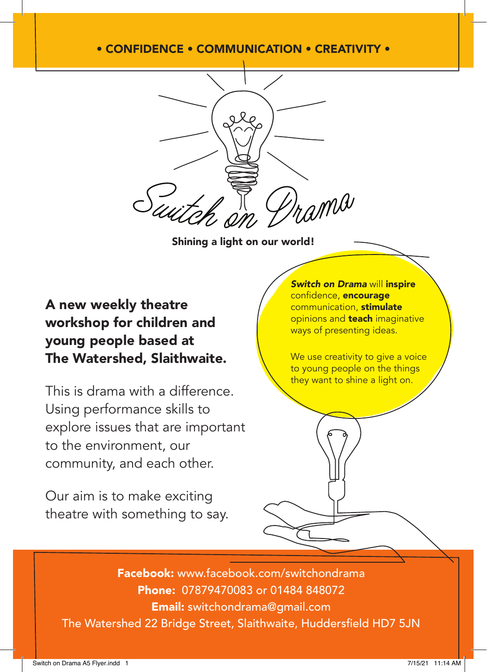## • CONFIDENCE • COMMUNICATION • CREATIVITY •



Shining a light on our world!

## A new weekly theatre workshop for children and young people based at The Watershed, Slaithwaite.

This is drama with a difference. Using performance skills to explore issues that are important to the environment, our community, and each other.

Our aim is to make exciting theatre with something to say. *Switch on Drama* will inspire confidence, encourage communication, stimulate opinions and **teach** imaginative ways of presenting ideas.

We use creativity to give a voice to young people on the things they want to shine a light on.

Facebook: www.facebook.com/switchondrama Phone: 07879470083 or 01484 848072 Email: switchondrama@gmail.com The Watershed 22 Bridge Street, Slaithwaite, Huddersfield HD7 5JN